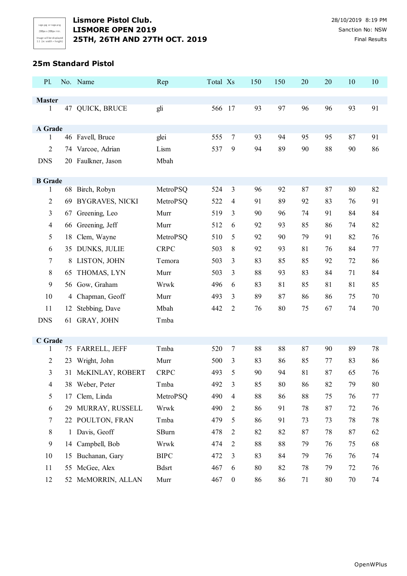#### **25m Standard Pistol**

| P1.                            |    | No. Name           | Rep          | Total Xs |                  | 150 | 150 | 20     | 20 | 10 | 10 |
|--------------------------------|----|--------------------|--------------|----------|------------------|-----|-----|--------|----|----|----|
|                                |    |                    |              |          |                  |     |     |        |    |    |    |
| <b>Master</b><br>1             |    | 47 QUICK, BRUCE    | gli          | 566 17   |                  | 93  | 97  | 96     | 96 | 93 | 91 |
|                                |    |                    |              |          |                  |     |     |        |    |    |    |
| A Grade                        |    |                    |              |          |                  |     |     |        |    |    |    |
| 1                              |    | 46 Favell, Bruce   | glei         | 555      | $\tau$           | 93  | 94  | 95     | 95 | 87 | 91 |
| 2                              |    | 74 Varcoe, Adrian  | Lism         | 537      | 9                | 94  | 89  | 90     | 88 | 90 | 86 |
| <b>DNS</b>                     |    | 20 Faulkner, Jason | Mbah         |          |                  |     |     |        |    |    |    |
|                                |    |                    |              |          |                  |     |     |        |    |    |    |
| <b>B</b> Grade<br>$\mathbf{1}$ |    | 68 Birch, Robyn    | MetroPSQ     | 524      | $\mathfrak{Z}$   | 96  | 92  | 87     | 87 | 80 | 82 |
| $\overline{2}$                 |    | 69 BYGRAVES, NICKI | MetroPSQ     | 522      | $\overline{4}$   | 91  | 89  | 92     | 83 | 76 | 91 |
| 3                              | 67 | Greening, Leo      | Murr         | 519      | 3                | 90  | 96  | 74     | 91 | 84 | 84 |
| 4                              |    | 66 Greening, Jeff  | Murr         | 512      | 6                | 92  | 93  | 85     | 86 | 74 | 82 |
| 5                              | 18 | Clem, Wayne        | MetroPSQ     | 510      | 5                | 92  | 90  | 79     | 91 | 82 | 76 |
| 6                              |    | 35 DUNKS, JULIE    | <b>CRPC</b>  | 503      | 8                | 92  | 93  | 81     | 76 | 84 | 77 |
| 7                              |    | 8 LISTON, JOHN     | Temora       | 503      | 3                | 83  | 85  | 85     | 92 | 72 | 86 |
| 8                              | 65 | THOMAS, LYN        | Murr         | 503      | 3                | 88  | 93  | 83     | 84 | 71 | 84 |
| 9                              |    | 56 Gow, Graham     | Wrwk         | 496      | 6                | 83  | 81  | 85     | 81 | 81 | 85 |
| 10                             | 4  | Chapman, Geoff     | Murr         | 493      | 3                | 89  | 87  | 86     | 86 | 75 | 70 |
| 11                             | 12 | Stebbing, Dave     | Mbah         | 442      | $\overline{2}$   | 76  | 80  | 75     | 67 | 74 | 70 |
| <b>DNS</b>                     | 61 | GRAY, JOHN         | Tmba         |          |                  |     |     |        |    |    |    |
|                                |    |                    |              |          |                  |     |     |        |    |    |    |
| C Grade                        |    |                    |              |          |                  |     |     |        |    |    |    |
| 1                              |    | 75 FARRELL, JEFF   | Tmba         | 520      | $\tau$           | 88  | 88  | 87     | 90 | 89 | 78 |
| $\overline{2}$                 | 23 | Wright, John       | Murr         | 500      | 3                | 83  | 86  | 85     | 77 | 83 | 86 |
| 3                              | 31 | McKINLAY, ROBERT   | <b>CRPC</b>  | 493      | 5                | 90  | 94  | 81     | 87 | 65 | 76 |
| 4                              |    | 38 Weber, Peter    | Tmba         | 492      | 3                | 85  | 80  | 86     | 82 | 79 | 80 |
| 5                              | 17 | Clem, Linda        | MetroPSQ     | 490      | $\overline{4}$   | 88  | 86  | 88     | 75 | 76 | 77 |
| 6                              | 29 | MURRAY, RUSSELL    | Wrwk         | 490      | $\overline{2}$   | 86  | 91  | 78     | 87 | 72 | 76 |
| 7                              |    | 22 POULTON, FRAN   | Tmba         | 479      | 5                | 86  | 91  | 73     | 73 | 78 | 78 |
| 8                              |    | 1 Davis, Geoff     | SBurn        | 478      | $\overline{2}$   | 82  | 82  | 87     | 78 | 87 | 62 |
| 9                              |    | 14 Campbell, Bob   | Wrwk         | 474      | $\overline{2}$   | 88  | 88  | 79     | 76 | 75 | 68 |
| 10                             | 15 | Buchanan, Gary     | <b>BIPC</b>  | 472      | 3                | 83  | 84  | 79     | 76 | 76 | 74 |
| 11                             |    | 55 McGee, Alex     | <b>Bdsrt</b> | 467      | 6                | 80  | 82  | $78\,$ | 79 | 72 | 76 |
| 12                             |    | 52 McMORRIN, ALLAN | Murr         | 467      | $\boldsymbol{0}$ | 86  | 86  | 71     | 80 | 70 | 74 |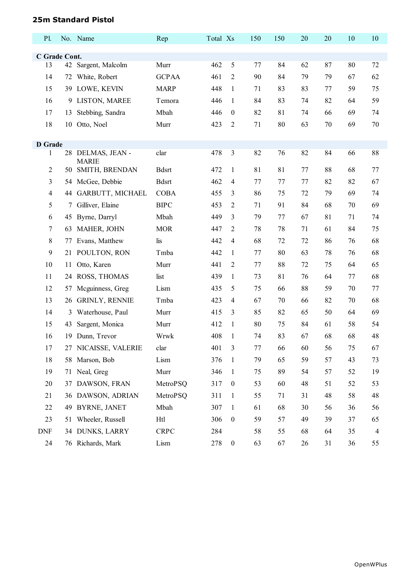# **25m Standard Pistol**

| P1.                 |    | No. Name                          | Rep          | Total Xs |                  | 150 | 150 | 20 | 20 | 10 | 10 |
|---------------------|----|-----------------------------------|--------------|----------|------------------|-----|-----|----|----|----|----|
|                     |    |                                   |              |          |                  |     |     |    |    |    |    |
| C Grade Cont.<br>13 | 42 | Sargent, Malcolm                  | Murr         | 462      | 5                | 77  | 84  | 62 | 87 | 80 | 72 |
| 14                  | 72 | White, Robert                     | <b>GCPAA</b> | 461      | 2                | 90  | 84  | 79 | 79 | 67 | 62 |
| 15                  |    | 39 LOWE, KEVIN                    | <b>MARP</b>  | 448      | $\mathbf{1}$     | 71  | 83  | 83 | 77 | 59 | 75 |
| 16                  | 9  | LISTON, MAREE                     | Temora       | 446      | $\mathbf{1}$     | 84  | 83  | 74 | 82 | 64 | 59 |
| 17                  | 13 | Stebbing, Sandra                  | Mbah         | 446      | $\boldsymbol{0}$ | 82  | 81  | 74 | 66 | 69 | 74 |
| 18                  |    | 10 Otto, Noel                     | Murr         | 423      | 2                | 71  | 80  | 63 | 70 | 69 | 70 |
|                     |    |                                   |              |          |                  |     |     |    |    |    |    |
| <b>D</b> Grade      |    |                                   |              |          |                  |     |     |    |    |    |    |
| $\mathbf{1}$        |    | 28 DELMAS, JEAN -<br><b>MARIE</b> | clar         | 478      | 3                | 82  | 76  | 82 | 84 | 66 | 88 |
| $\overline{2}$      |    | 50 SMITH, BRENDAN                 | <b>Bdsrt</b> | 472      | $\mathbf{1}$     | 81  | 81  | 77 | 88 | 68 | 77 |
| 3                   | 54 | McGee, Debbie                     | <b>Bdsrt</b> | 462      | 4                | 77  | 77  | 77 | 82 | 82 | 67 |
| $\overline{4}$      | 44 | GARBUTT, MICHAEL                  | <b>COBA</b>  | 455      | 3                | 86  | 75  | 72 | 79 | 69 | 74 |
| 5                   | 7  | Gilliver, Elaine                  | <b>BIPC</b>  | 453      | 2                | 71  | 91  | 84 | 68 | 70 | 69 |
| 6                   |    | 45 Byrne, Darryl                  | Mbah         | 449      | 3                | 79  | 77  | 67 | 81 | 71 | 74 |
| 7                   |    | 63 MAHER, JOHN                    | <b>MOR</b>   | 447      | 2                | 78  | 78  | 71 | 61 | 84 | 75 |
| 8                   |    | 77 Evans, Matthew                 | lis          | 442      | 4                | 68  | 72  | 72 | 86 | 76 | 68 |
| 9                   |    | 21 POULTON, RON                   | Tmba         | 442      | $\mathbf{1}$     | 77  | 80  | 63 | 78 | 76 | 68 |
| 10                  | 11 | Otto, Karen                       | Murr         | 441      | 2                | 77  | 88  | 72 | 75 | 64 | 65 |
| 11                  |    | 24 ROSS, THOMAS                   | list         | 439      | $\mathbf{1}$     | 73  | 81  | 76 | 64 | 77 | 68 |
| 12                  | 57 | Mcguinness, Greg                  | Lism         | 435      | 5                | 75  | 66  | 88 | 59 | 70 | 77 |
| 13                  |    | 26 GRINLY, RENNIE                 | Tmba         | 423      | 4                | 67  | 70  | 66 | 82 | 70 | 68 |
| 14                  | 3  | Waterhouse, Paul                  | Murr         | 415      | 3                | 85  | 82  | 65 | 50 | 64 | 69 |
| 15                  | 43 | Sargent, Monica                   | Murr         | 412      | $\mathbf{1}$     | 80  | 75  | 84 | 61 | 58 | 54 |
| 16                  |    | 19 Dunn, Trevor                   | Wrwk         | 408      | -1               | 74  | 83  | 67 | 68 | 68 | 48 |
| 17                  |    | 27 NICAISSE, VALERIE              | clar         | 401      | 3                | 77  | 66  | 60 | 56 | 75 | 67 |
| 18                  |    | 58 Marson, Bob                    | Lism         | 376      | 1                | 79  | 65  | 59 | 57 | 43 | 73 |
| 19                  |    | 71 Neal, Greg                     | Murr         | 346      | $\mathbf{1}$     | 75  | 89  | 54 | 57 | 52 | 19 |
| 20                  |    | 37 DAWSON, FRAN                   | MetroPSQ     | 317      | $\boldsymbol{0}$ | 53  | 60  | 48 | 51 | 52 | 53 |
| 21                  |    | 36 DAWSON, ADRIAN                 | MetroPSQ     | 311      | $\mathbf{1}$     | 55  | 71  | 31 | 48 | 58 | 48 |
| 22                  |    | 49 BYRNE, JANET                   | Mbah         | 307      | $\mathbf{1}$     | 61  | 68  | 30 | 56 | 36 | 56 |
| 23                  |    | 51 Wheeler, Russell               | Htl          | 306      | $\boldsymbol{0}$ | 59  | 57  | 49 | 39 | 37 | 65 |
| <b>DNF</b>          |    | 34 DUNKS, LARRY                   | <b>CRPC</b>  | 284      |                  | 58  | 55  | 68 | 64 | 35 | 4  |
| 24                  |    | 76 Richards, Mark                 | Lism         | 278      | $\boldsymbol{0}$ | 63  | 67  | 26 | 31 | 36 | 55 |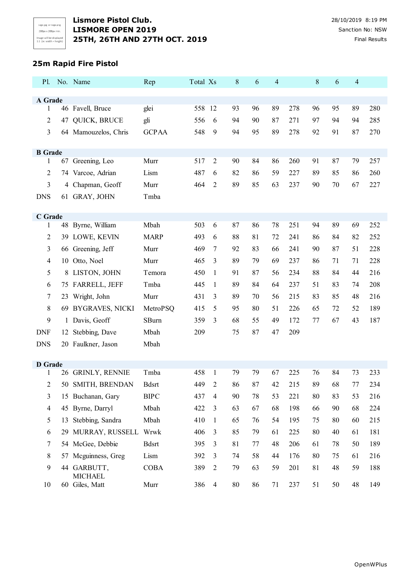# **25m Rapid Fire Pistol**

| P1.                 |              | No. Name                      | Rep          | Total Xs |                | $8\,$  | 6  | 4  |     | 8  | 6  | 4  |     |
|---------------------|--------------|-------------------------------|--------------|----------|----------------|--------|----|----|-----|----|----|----|-----|
| A Grade             |              |                               |              |          |                |        |    |    |     |    |    |    |     |
| 1                   |              | 46 Favell, Bruce              | glei         | 558      | 12             | 93     | 96 | 89 | 278 | 96 | 95 | 89 | 280 |
| $\overline{2}$      |              | 47 QUICK, BRUCE               | gli          | 556      | 6              | 94     | 90 | 87 | 271 | 97 | 94 | 94 | 285 |
| 3                   |              | 64 Mamouzelos, Chris          | <b>GCPAA</b> | 548      | 9              | 94     | 95 | 89 | 278 | 92 | 91 | 87 | 270 |
|                     |              |                               |              |          |                |        |    |    |     |    |    |    |     |
| <b>B</b> Grade      |              |                               |              |          |                |        |    |    |     |    |    |    |     |
| 1                   |              | 67 Greening, Leo              | Murr         | 517      | $\overline{2}$ | 90     | 84 | 86 | 260 | 91 | 87 | 79 | 257 |
| $\overline{2}$      |              | 74 Varcoe, Adrian             | Lism         | 487      | 6              | 82     | 86 | 59 | 227 | 89 | 85 | 86 | 260 |
| 3                   |              | 4 Chapman, Geoff              | Murr         | 464      | 2              | 89     | 85 | 63 | 237 | 90 | 70 | 67 | 227 |
| <b>DNS</b>          |              | 61 GRAY, JOHN                 | Tmba         |          |                |        |    |    |     |    |    |    |     |
| C Grade             |              |                               |              |          |                |        |    |    |     |    |    |    |     |
| 1                   | 48           | Byrne, William                | Mbah         | 503      | 6              | 87     | 86 | 78 | 251 | 94 | 89 | 69 | 252 |
| $\overline{2}$      | 39           | LOWE, KEVIN                   | <b>MARP</b>  | 493      | 6              | 88     | 81 | 72 | 241 | 86 | 84 | 82 | 252 |
| 3                   |              | 66 Greening, Jeff             | Murr         | 469      | 7              | 92     | 83 | 66 | 241 | 90 | 87 | 51 | 228 |
| $\overline{4}$      | 10           | Otto, Noel                    | Murr         | 465      | 3              | 89     | 79 | 69 | 237 | 86 | 71 | 71 | 228 |
| 5                   | 8            | LISTON, JOHN                  | Temora       | 450      | $\mathbf{1}$   | 91     | 87 | 56 | 234 | 88 | 84 | 44 | 216 |
| 6                   |              | 75 FARRELL, JEFF              | Tmba         | 445      | 1              | 89     | 84 | 64 | 237 | 51 | 83 | 74 | 208 |
| $\tau$              | 23           | Wright, John                  | Murr         | 431      | 3              | 89     | 70 | 56 | 215 | 83 | 85 | 48 | 216 |
| 8                   | 69           | <b>BYGRAVES, NICKI</b>        | MetroPSQ     | 415      | 5              | 95     | 80 | 51 | 226 | 65 | 72 | 52 | 189 |
| 9                   | $\mathbf{1}$ | Davis, Geoff                  | SBurn        | 359      | 3              | 68     | 55 | 49 | 172 | 77 | 67 | 43 | 187 |
| <b>DNF</b>          |              | 12 Stebbing, Dave             | Mbah         | 209      |                | 75     | 87 | 47 | 209 |    |    |    |     |
| <b>DNS</b>          |              | 20 Faulkner, Jason            | Mbah         |          |                |        |    |    |     |    |    |    |     |
|                     |              |                               |              |          |                |        |    |    |     |    |    |    |     |
| <b>D</b> Grade<br>1 |              | 26 GRINLY, RENNIE             | Tmba         | 458      | 1              | 79     | 79 | 67 | 225 | 76 | 84 | 73 | 233 |
| $\overline{2}$      |              | 50 SMITH, BRENDAN             | <b>Bdsrt</b> | 449      | $\mathfrak{2}$ | 86     | 87 | 42 | 215 | 89 | 68 | 77 | 234 |
| $\mathfrak{Z}$      |              | 15 Buchanan, Gary             | <b>BIPC</b>  | 437      | $\overline{4}$ | 90     | 78 | 53 | 221 | 80 | 83 | 53 | 216 |
| $\overline{4}$      |              | 45 Byrne, Darryl              | Mbah         | 422      | 3              | 63     | 67 | 68 | 198 | 66 | 90 | 68 | 224 |
| 5                   |              | 13 Stebbing, Sandra           | Mbah         | 410      |                | 65     | 76 | 54 | 195 | 75 | 80 | 60 | 215 |
|                     |              |                               |              |          | $\mathbf{1}$   |        |    |    |     |    |    |    |     |
| 6                   |              | 29 MURRAY, RUSSELL            | Wrwk         | 406      | 3              | 85     | 79 | 61 | 225 | 80 | 40 | 61 | 181 |
| $\overline{7}$      |              | 54 McGee, Debbie              | <b>Bdsrt</b> | 395      | $\mathfrak{Z}$ | 81     | 77 | 48 | 206 | 61 | 78 | 50 | 189 |
| 8                   |              | 57 Mcguinness, Greg           | Lism         | 392      | 3              | 74     | 58 | 44 | 176 | 80 | 75 | 61 | 216 |
| 9                   |              | 44 GARBUTT,<br><b>MICHAEL</b> | <b>COBA</b>  | 389      | $\overline{2}$ | 79     | 63 | 59 | 201 | 81 | 48 | 59 | 188 |
| 10                  |              | 60 Giles, Matt                | Murr         | 386      | $\overline{4}$ | $80\,$ | 86 | 71 | 237 | 51 | 50 | 48 | 149 |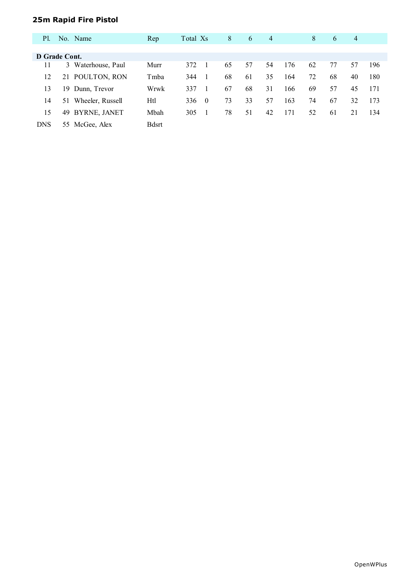# **25m Rapid Fire Pistol**

| <b>P</b> l.   |     | No. Name            | Rep          | Total Xs |          | 8  | 6  | 4  |     | 8  | 6  | 4  |     |
|---------------|-----|---------------------|--------------|----------|----------|----|----|----|-----|----|----|----|-----|
|               |     |                     |              |          |          |    |    |    |     |    |    |    |     |
| D Grade Cont. |     |                     |              |          |          |    |    |    |     |    |    |    |     |
| 11            | 3   | Waterhouse, Paul    | Murr         | 372      |          | 65 | 57 | 54 | 176 | 62 | 77 | 57 | 196 |
| 12            | 21  | POULTON, RON        | Tmba         | 344      |          | 68 | 61 | 35 | 164 | 72 | 68 | 40 | 180 |
| 13            | 19. | Dunn, Trevor        | Wrwk         | 337      |          | 67 | 68 | 31 | 166 | 69 | 57 | 45 | 171 |
| 14            | 51  | Wheeler, Russell    | Htl          | 336      | $\Omega$ | 73 | 33 | 57 | 163 | 74 | 67 | 32 | 173 |
| 15            | 49  | <b>BYRNE, JANET</b> | Mbah         | 305      |          | 78 | 51 | 42 | 171 | 52 | 61 | 21 | 134 |
| <b>DNS</b>    | 55  | McGee, Alex         | <b>Bdsrt</b> |          |          |    |    |    |     |    |    |    |     |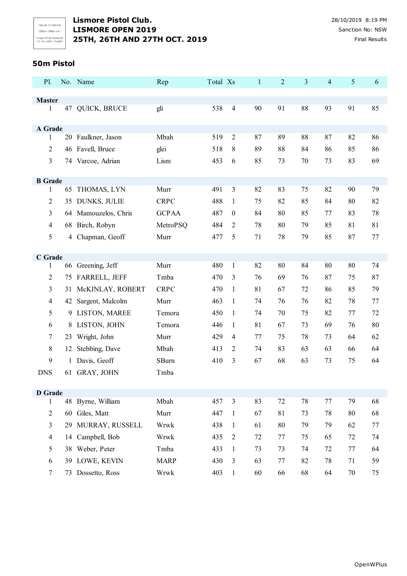# **50m Pistol**

| P1.            |    | No. Name             | Rep          | Total Xs |                  | $\mathbf{1}$ | 2  | $\mathfrak{Z}$ | $\overline{4}$ | $\mathfrak{S}$ | 6  |
|----------------|----|----------------------|--------------|----------|------------------|--------------|----|----------------|----------------|----------------|----|
| <b>Master</b>  |    |                      |              |          |                  |              |    |                |                |                |    |
| 1              |    | 47 QUICK, BRUCE      | gli          | 538      | $\overline{4}$   | 90           | 91 | 88             | 93             | 91             | 85 |
|                |    |                      |              |          |                  |              |    |                |                |                |    |
| A Grade        |    |                      |              |          |                  |              |    |                |                |                |    |
| 1              |    | 20 Faulkner, Jason   | Mbah         | 519      | $\overline{2}$   | 87           | 89 | 88             | 87             | 82             | 86 |
| $\overline{2}$ |    | 46 Favell, Bruce     | glei         | 518      | 8                | 89           | 88 | 84             | 86             | 85             | 86 |
| 3              |    | 74 Varcoe, Adrian    | Lism         | 453      | 6                | 85           | 73 | 70             | 73             | 83             | 69 |
| <b>B</b> Grade |    |                      |              |          |                  |              |    |                |                |                |    |
| $\mathbf{1}$   |    | 65 THOMAS, LYN       | Murr         | 491      | 3                | 82           | 83 | 75             | 82             | 90             | 79 |
| 2              | 35 | <b>DUNKS, JULIE</b>  | <b>CRPC</b>  | 488      | $\mathbf{1}$     | 75           | 82 | 85             | 84             | 80             | 82 |
| 3              |    | 64 Mamouzelos, Chris | <b>GCPAA</b> | 487      | $\boldsymbol{0}$ | 84           | 80 | 85             | 77             | 83             | 78 |
| 4              |    | 68 Birch, Robyn      | MetroPSQ     | 484      | 2                | 78           | 80 | 79             | 85             | 81             | 81 |
| 5              |    | 4 Chapman, Geoff     | Murr         | 477      | 5                | 71           | 78 | 79             | 85             | 87             | 77 |
|                |    |                      |              |          |                  |              |    |                |                |                |    |
| C Grade        |    |                      |              |          |                  |              |    |                |                |                |    |
| 1              |    | 66 Greening, Jeff    | Murr         | 480      | $\mathbf{1}$     | 82           | 80 | 84             | 80             | 80             | 74 |
| 2              |    | 75 FARRELL, JEFF     | Tmba         | 470      | 3                | 76           | 69 | 76             | 87             | 75             | 87 |
| 3              | 31 | McKINLAY, ROBERT     | <b>CRPC</b>  | 470      | $\mathbf{1}$     | 81           | 67 | 72             | 86             | 85             | 79 |
| 4              |    | 42 Sargent, Malcolm  | Murr         | 463      | $\mathbf{1}$     | 74           | 76 | 76             | 82             | 78             | 77 |
| 5              | 9  | LISTON, MAREE        | Temora       | 450      | 1                | 74           | 70 | 75             | 82             | 77             | 72 |
| 6              | 8  | LISTON, JOHN         | Temora       | 446      | $\mathbf{1}$     | 81           | 67 | 73             | 69             | 76             | 80 |
| 7              | 23 | Wright, John         | Murr         | 429      | 4                | 77           | 75 | 78             | 73             | 64             | 62 |
| 8              | 12 | Stebbing, Dave       | Mbah         | 413      | $\overline{2}$   | 74           | 83 | 63             | 63             | 66             | 64 |
| 9              |    | 1 Davis, Geoff       | SBurn        | 410      | 3                | 67           | 68 | 63             | 73             | 75             | 64 |
| <b>DNS</b>     |    | 61 GRAY, JOHN        | Tmba         |          |                  |              |    |                |                |                |    |
| <b>D</b> Grade |    |                      |              |          |                  |              |    |                |                |                |    |
| 1              |    | 48 Byrne, William    | Mbah         | 457      | $\mathfrak{Z}$   | 83           | 72 | 78             | 77             | 79             | 68 |
| $\overline{2}$ |    | 60 Giles, Matt       | Murr         | 447      | $\mathbf{1}$     | 67           | 81 | 73             | 78             | 80             | 68 |
| 3              | 29 | MURRAY, RUSSELL      | Wrwk         | 438      | $\mathbf{1}$     | 61           | 80 | 79             | 79             | 62             | 77 |
| $\overline{4}$ | 14 | Campbell, Bob        | Wrwk         | 435      | $\overline{2}$   | 72           | 77 | 75             | 65             | 72             | 74 |
| 5              |    | 38 Weber, Peter      | Tmba         | 433      | $\mathbf{1}$     | 73           | 73 | 74             | 72             | 77             | 64 |
| 6              | 39 | LOWE, KEVIN          | <b>MARP</b>  | 430      | $\mathfrak{Z}$   | 63           | 77 | 82             | 78             | 71             | 59 |
| 7              |    | 73 Dossetto, Ross    | Wrwk         | 403      | $\mathbf{1}$     | 60           | 66 | 68             | 64             | $70\,$         | 75 |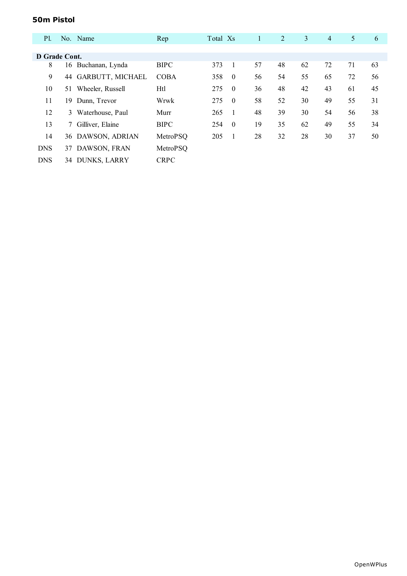# **50m Pistol**

| <b>P1.</b>    |    | No. Name            | Rep         | Total Xs |                | $\mathbf{1}$ | $\overline{2}$ | 3  | $\overline{4}$ | 5  | 6  |
|---------------|----|---------------------|-------------|----------|----------------|--------------|----------------|----|----------------|----|----|
|               |    |                     |             |          |                |              |                |    |                |    |    |
| D Grade Cont. |    |                     |             |          |                |              |                |    |                |    |    |
| 8             | 16 | Buchanan, Lynda     | <b>BIPC</b> | 373      | $\overline{1}$ | 57           | 48             | 62 | 72             | 71 | 63 |
| 9             |    | 44 GARBUTT, MICHAEL | <b>COBA</b> | 358      | $\theta$       | 56           | 54             | 55 | 65             | 72 | 56 |
| 10            | 51 | Wheeler, Russell    | Htl         | 275      | $\overline{0}$ | 36           | 48             | 42 | 43             | 61 | 45 |
| 11            | 19 | Dunn, Trevor        | Wrwk        | 275      | $\overline{0}$ | 58           | 52             | 30 | 49             | 55 | 31 |
| 12            | 3  | Waterhouse, Paul    | Murr        | 265      | - 1            | 48           | 39             | 30 | 54             | 56 | 38 |
| 13            |    | 7 Gilliver, Elaine  | <b>BIPC</b> | 254      | $\theta$       | 19           | 35             | 62 | 49             | 55 | 34 |
| 14            |    | 36 DAWSON, ADRIAN   | MetroPSQ    | 205      | $\overline{1}$ | 28           | 32             | 28 | 30             | 37 | 50 |
| <b>DNS</b>    |    | 37 DAWSON, FRAN     | MetroPSQ    |          |                |              |                |    |                |    |    |
| <b>DNS</b>    | 34 | <b>DUNKS, LARRY</b> | <b>CRPC</b> |          |                |              |                |    |                |    |    |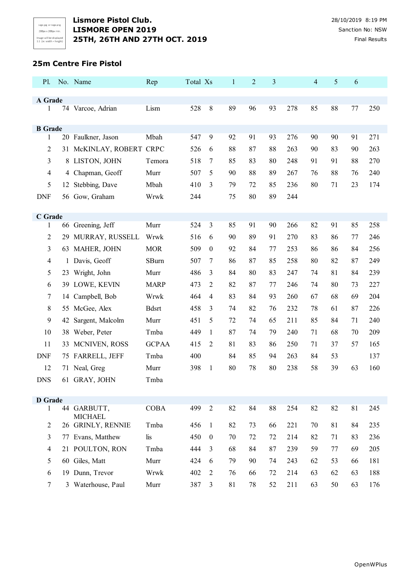#### **25m Centre Fire Pistol**

| A Grade<br>528<br>$8\,$<br>89<br>93<br>85<br>88<br>74 Varcoe, Adrian<br>Lism<br>96<br>278<br>77<br>250<br>1<br><b>B</b> Grade<br>Mbah<br>20 Faulkner, Jason<br>547<br>9<br>92<br>91<br>93<br>276<br>90<br>90<br>91<br>271<br>1<br>McKINLAY, ROBERT CRPC<br>88<br>2<br>526<br>87<br>88<br>263<br>90<br>83<br>90<br>263<br>6<br>31<br>3<br>8 LISTON, JOHN<br>518<br>7<br>85<br>88<br>270<br>83<br>80<br>248<br>91<br>91<br>Temora<br>88<br>4<br>4 Chapman, Geoff<br>Murr<br>507<br>5<br>90<br>89<br>267<br>76<br>88<br>76<br>240<br>5<br>Mbah<br>3<br>80<br>71<br>23<br>174<br>Stebbing, Dave<br>410<br>79<br>72<br>85<br>236<br>12<br>75<br>80<br>89<br><b>DNF</b><br>56 Gow, Graham<br>Wrwk<br>244<br>244<br>C Grade<br>82<br>91<br>66 Greening, Jeff<br>Murr<br>524<br>3<br>85<br>91<br>90<br>85<br>258<br>266<br>1<br>2<br>MURRAY, RUSSELL<br>Wrwk<br>516<br>6<br>90<br>89<br>91<br>270<br>83<br>86<br>77<br>246<br>29<br>3<br>63 MAHER, JOHN<br><b>MOR</b><br>$\boldsymbol{0}$<br>253<br>86<br>256<br>509<br>92<br>84<br>86<br>84<br>77<br>SBurn<br>82<br>249<br>$\overline{4}$<br>1 Davis, Geoff<br>507<br>86<br>87<br>85<br>258<br>80<br>87<br>7<br>5<br>81<br>239<br>23 Wright, John<br>Murr<br>486<br>3<br>84<br>80<br>83<br>247<br>74<br>84<br>$\overline{2}$<br>82<br>80<br>227<br>6<br>39 LOWE, KEVIN<br><b>MARP</b><br>473<br>87<br>77<br>246<br>74<br>73<br>Campbell, Bob<br>Wrwk<br>68<br>69<br>204<br>7<br>464<br>$\overline{4}$<br>83<br>84<br>93<br>260<br>67<br>14<br>8<br><b>Bdsrt</b><br>458<br>82<br>78<br>87<br>226<br>55 McGee, Alex<br>3<br>74<br>76<br>232<br>61<br>9<br>85<br>Sargent, Malcolm<br>Murr<br>451<br>5<br>72<br>74<br>65<br>211<br>84<br>71<br>240<br>42<br>68<br>Tmba<br>87<br>71<br>70<br>209<br>10<br>38 Weber, Peter<br>449<br>$\mathbf{1}$<br>74<br>79<br>240 | P1. | No. Name | Rep | Total Xs | $\mathbf{1}$ | $\overline{2}$ | 3 | 4 | 5 | 6 |  |
|---------------------------------------------------------------------------------------------------------------------------------------------------------------------------------------------------------------------------------------------------------------------------------------------------------------------------------------------------------------------------------------------------------------------------------------------------------------------------------------------------------------------------------------------------------------------------------------------------------------------------------------------------------------------------------------------------------------------------------------------------------------------------------------------------------------------------------------------------------------------------------------------------------------------------------------------------------------------------------------------------------------------------------------------------------------------------------------------------------------------------------------------------------------------------------------------------------------------------------------------------------------------------------------------------------------------------------------------------------------------------------------------------------------------------------------------------------------------------------------------------------------------------------------------------------------------------------------------------------------------------------------------------------------------------------------------------------------------------------------------------------------------------------------------------------|-----|----------|-----|----------|--------------|----------------|---|---|---|---|--|
|                                                                                                                                                                                                                                                                                                                                                                                                                                                                                                                                                                                                                                                                                                                                                                                                                                                                                                                                                                                                                                                                                                                                                                                                                                                                                                                                                                                                                                                                                                                                                                                                                                                                                                                                                                                                         |     |          |     |          |              |                |   |   |   |   |  |
|                                                                                                                                                                                                                                                                                                                                                                                                                                                                                                                                                                                                                                                                                                                                                                                                                                                                                                                                                                                                                                                                                                                                                                                                                                                                                                                                                                                                                                                                                                                                                                                                                                                                                                                                                                                                         |     |          |     |          |              |                |   |   |   |   |  |
|                                                                                                                                                                                                                                                                                                                                                                                                                                                                                                                                                                                                                                                                                                                                                                                                                                                                                                                                                                                                                                                                                                                                                                                                                                                                                                                                                                                                                                                                                                                                                                                                                                                                                                                                                                                                         |     |          |     |          |              |                |   |   |   |   |  |
|                                                                                                                                                                                                                                                                                                                                                                                                                                                                                                                                                                                                                                                                                                                                                                                                                                                                                                                                                                                                                                                                                                                                                                                                                                                                                                                                                                                                                                                                                                                                                                                                                                                                                                                                                                                                         |     |          |     |          |              |                |   |   |   |   |  |
|                                                                                                                                                                                                                                                                                                                                                                                                                                                                                                                                                                                                                                                                                                                                                                                                                                                                                                                                                                                                                                                                                                                                                                                                                                                                                                                                                                                                                                                                                                                                                                                                                                                                                                                                                                                                         |     |          |     |          |              |                |   |   |   |   |  |
|                                                                                                                                                                                                                                                                                                                                                                                                                                                                                                                                                                                                                                                                                                                                                                                                                                                                                                                                                                                                                                                                                                                                                                                                                                                                                                                                                                                                                                                                                                                                                                                                                                                                                                                                                                                                         |     |          |     |          |              |                |   |   |   |   |  |
|                                                                                                                                                                                                                                                                                                                                                                                                                                                                                                                                                                                                                                                                                                                                                                                                                                                                                                                                                                                                                                                                                                                                                                                                                                                                                                                                                                                                                                                                                                                                                                                                                                                                                                                                                                                                         |     |          |     |          |              |                |   |   |   |   |  |
|                                                                                                                                                                                                                                                                                                                                                                                                                                                                                                                                                                                                                                                                                                                                                                                                                                                                                                                                                                                                                                                                                                                                                                                                                                                                                                                                                                                                                                                                                                                                                                                                                                                                                                                                                                                                         |     |          |     |          |              |                |   |   |   |   |  |
|                                                                                                                                                                                                                                                                                                                                                                                                                                                                                                                                                                                                                                                                                                                                                                                                                                                                                                                                                                                                                                                                                                                                                                                                                                                                                                                                                                                                                                                                                                                                                                                                                                                                                                                                                                                                         |     |          |     |          |              |                |   |   |   |   |  |
|                                                                                                                                                                                                                                                                                                                                                                                                                                                                                                                                                                                                                                                                                                                                                                                                                                                                                                                                                                                                                                                                                                                                                                                                                                                                                                                                                                                                                                                                                                                                                                                                                                                                                                                                                                                                         |     |          |     |          |              |                |   |   |   |   |  |
|                                                                                                                                                                                                                                                                                                                                                                                                                                                                                                                                                                                                                                                                                                                                                                                                                                                                                                                                                                                                                                                                                                                                                                                                                                                                                                                                                                                                                                                                                                                                                                                                                                                                                                                                                                                                         |     |          |     |          |              |                |   |   |   |   |  |
|                                                                                                                                                                                                                                                                                                                                                                                                                                                                                                                                                                                                                                                                                                                                                                                                                                                                                                                                                                                                                                                                                                                                                                                                                                                                                                                                                                                                                                                                                                                                                                                                                                                                                                                                                                                                         |     |          |     |          |              |                |   |   |   |   |  |
|                                                                                                                                                                                                                                                                                                                                                                                                                                                                                                                                                                                                                                                                                                                                                                                                                                                                                                                                                                                                                                                                                                                                                                                                                                                                                                                                                                                                                                                                                                                                                                                                                                                                                                                                                                                                         |     |          |     |          |              |                |   |   |   |   |  |
|                                                                                                                                                                                                                                                                                                                                                                                                                                                                                                                                                                                                                                                                                                                                                                                                                                                                                                                                                                                                                                                                                                                                                                                                                                                                                                                                                                                                                                                                                                                                                                                                                                                                                                                                                                                                         |     |          |     |          |              |                |   |   |   |   |  |
|                                                                                                                                                                                                                                                                                                                                                                                                                                                                                                                                                                                                                                                                                                                                                                                                                                                                                                                                                                                                                                                                                                                                                                                                                                                                                                                                                                                                                                                                                                                                                                                                                                                                                                                                                                                                         |     |          |     |          |              |                |   |   |   |   |  |
|                                                                                                                                                                                                                                                                                                                                                                                                                                                                                                                                                                                                                                                                                                                                                                                                                                                                                                                                                                                                                                                                                                                                                                                                                                                                                                                                                                                                                                                                                                                                                                                                                                                                                                                                                                                                         |     |          |     |          |              |                |   |   |   |   |  |
|                                                                                                                                                                                                                                                                                                                                                                                                                                                                                                                                                                                                                                                                                                                                                                                                                                                                                                                                                                                                                                                                                                                                                                                                                                                                                                                                                                                                                                                                                                                                                                                                                                                                                                                                                                                                         |     |          |     |          |              |                |   |   |   |   |  |
|                                                                                                                                                                                                                                                                                                                                                                                                                                                                                                                                                                                                                                                                                                                                                                                                                                                                                                                                                                                                                                                                                                                                                                                                                                                                                                                                                                                                                                                                                                                                                                                                                                                                                                                                                                                                         |     |          |     |          |              |                |   |   |   |   |  |
|                                                                                                                                                                                                                                                                                                                                                                                                                                                                                                                                                                                                                                                                                                                                                                                                                                                                                                                                                                                                                                                                                                                                                                                                                                                                                                                                                                                                                                                                                                                                                                                                                                                                                                                                                                                                         |     |          |     |          |              |                |   |   |   |   |  |
|                                                                                                                                                                                                                                                                                                                                                                                                                                                                                                                                                                                                                                                                                                                                                                                                                                                                                                                                                                                                                                                                                                                                                                                                                                                                                                                                                                                                                                                                                                                                                                                                                                                                                                                                                                                                         |     |          |     |          |              |                |   |   |   |   |  |
|                                                                                                                                                                                                                                                                                                                                                                                                                                                                                                                                                                                                                                                                                                                                                                                                                                                                                                                                                                                                                                                                                                                                                                                                                                                                                                                                                                                                                                                                                                                                                                                                                                                                                                                                                                                                         |     |          |     |          |              |                |   |   |   |   |  |
|                                                                                                                                                                                                                                                                                                                                                                                                                                                                                                                                                                                                                                                                                                                                                                                                                                                                                                                                                                                                                                                                                                                                                                                                                                                                                                                                                                                                                                                                                                                                                                                                                                                                                                                                                                                                         |     |          |     |          |              |                |   |   |   |   |  |
| <b>GCPAA</b><br>$\overline{2}$<br>81<br>83<br>11<br>MCNIVEN, ROSS<br>415<br>86<br>250<br>71<br>37<br>57<br>165<br>33                                                                                                                                                                                                                                                                                                                                                                                                                                                                                                                                                                                                                                                                                                                                                                                                                                                                                                                                                                                                                                                                                                                                                                                                                                                                                                                                                                                                                                                                                                                                                                                                                                                                                    |     |          |     |          |              |                |   |   |   |   |  |
| 75 FARRELL, JEFF<br>Tmba<br>53<br>137<br><b>DNF</b><br>400<br>84<br>85<br>94<br>263<br>84                                                                                                                                                                                                                                                                                                                                                                                                                                                                                                                                                                                                                                                                                                                                                                                                                                                                                                                                                                                                                                                                                                                                                                                                                                                                                                                                                                                                                                                                                                                                                                                                                                                                                                               |     |          |     |          |              |                |   |   |   |   |  |
| 12<br>$\mathbf{1}$<br>80<br>78<br>80<br>238<br>58<br>39<br>63<br>71 Neal, Greg<br>Murr<br>398<br>160                                                                                                                                                                                                                                                                                                                                                                                                                                                                                                                                                                                                                                                                                                                                                                                                                                                                                                                                                                                                                                                                                                                                                                                                                                                                                                                                                                                                                                                                                                                                                                                                                                                                                                    |     |          |     |          |              |                |   |   |   |   |  |
| <b>DNS</b><br>61 GRAY, JOHN<br>Tmba                                                                                                                                                                                                                                                                                                                                                                                                                                                                                                                                                                                                                                                                                                                                                                                                                                                                                                                                                                                                                                                                                                                                                                                                                                                                                                                                                                                                                                                                                                                                                                                                                                                                                                                                                                     |     |          |     |          |              |                |   |   |   |   |  |
| <b>D</b> Grade                                                                                                                                                                                                                                                                                                                                                                                                                                                                                                                                                                                                                                                                                                                                                                                                                                                                                                                                                                                                                                                                                                                                                                                                                                                                                                                                                                                                                                                                                                                                                                                                                                                                                                                                                                                          |     |          |     |          |              |                |   |   |   |   |  |
| <b>COBA</b><br>499<br>$\sqrt{2}$<br>82<br>84<br>88<br>254<br>82<br>82<br>81<br>44 GARBUTT,<br>245<br>$\mathbf{1}$                                                                                                                                                                                                                                                                                                                                                                                                                                                                                                                                                                                                                                                                                                                                                                                                                                                                                                                                                                                                                                                                                                                                                                                                                                                                                                                                                                                                                                                                                                                                                                                                                                                                                       |     |          |     |          |              |                |   |   |   |   |  |
| <b>MICHAEL</b><br>26 GRINLY, RENNIE<br>Tmba<br>81<br>235<br>2<br>456<br>$\mathbf{1}$<br>82<br>73<br>66<br>221<br>70<br>84                                                                                                                                                                                                                                                                                                                                                                                                                                                                                                                                                                                                                                                                                                                                                                                                                                                                                                                                                                                                                                                                                                                                                                                                                                                                                                                                                                                                                                                                                                                                                                                                                                                                               |     |          |     |          |              |                |   |   |   |   |  |
| 3<br>Evans, Matthew<br>lis<br>450<br>$\boldsymbol{0}$<br>72<br>214<br>236<br>70<br>72<br>82<br>71<br>83<br>77                                                                                                                                                                                                                                                                                                                                                                                                                                                                                                                                                                                                                                                                                                                                                                                                                                                                                                                                                                                                                                                                                                                                                                                                                                                                                                                                                                                                                                                                                                                                                                                                                                                                                           |     |          |     |          |              |                |   |   |   |   |  |
| 21 POULTON, RON<br>Tmba<br>3<br>59<br>77<br>69<br>205<br>$\overline{4}$<br>444<br>68<br>84<br>87<br>239                                                                                                                                                                                                                                                                                                                                                                                                                                                                                                                                                                                                                                                                                                                                                                                                                                                                                                                                                                                                                                                                                                                                                                                                                                                                                                                                                                                                                                                                                                                                                                                                                                                                                                 |     |          |     |          |              |                |   |   |   |   |  |
| 5<br>60 Giles, Matt<br>Murr<br>424<br>6<br>79<br>90<br>74<br>243<br>62<br>53<br>66<br>181                                                                                                                                                                                                                                                                                                                                                                                                                                                                                                                                                                                                                                                                                                                                                                                                                                                                                                                                                                                                                                                                                                                                                                                                                                                                                                                                                                                                                                                                                                                                                                                                                                                                                                               |     |          |     |          |              |                |   |   |   |   |  |
| 19 Dunn, Trevor<br>188<br>6<br>Wrwk<br>402<br>$\overline{2}$<br>76<br>214<br>62<br>63<br>66<br>72<br>63                                                                                                                                                                                                                                                                                                                                                                                                                                                                                                                                                                                                                                                                                                                                                                                                                                                                                                                                                                                                                                                                                                                                                                                                                                                                                                                                                                                                                                                                                                                                                                                                                                                                                                 |     |          |     |          |              |                |   |   |   |   |  |
| $\overline{7}$<br>3 Waterhouse, Paul<br>Murr<br>387<br>78<br>63<br>176<br>3<br>81<br>52<br>211<br>63<br>50                                                                                                                                                                                                                                                                                                                                                                                                                                                                                                                                                                                                                                                                                                                                                                                                                                                                                                                                                                                                                                                                                                                                                                                                                                                                                                                                                                                                                                                                                                                                                                                                                                                                                              |     |          |     |          |              |                |   |   |   |   |  |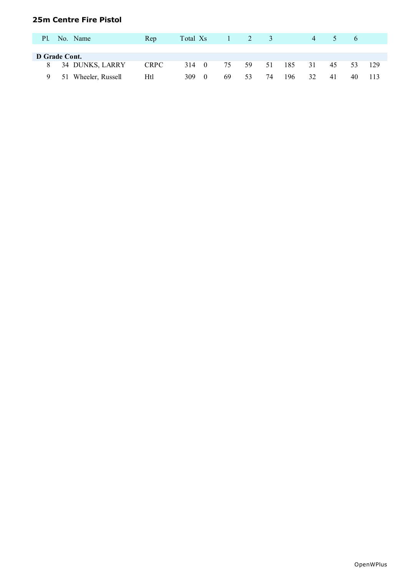# **25m Centre Fire Pistol**

| P1. | No. Name            | Rep         | Total Xs |    | 2  | $\Delta$ |     | $\overline{4}$ |    | $\sigma$ |     |
|-----|---------------------|-------------|----------|----|----|----------|-----|----------------|----|----------|-----|
|     |                     |             |          |    |    |          |     |                |    |          |     |
|     | D Grade Cont.       |             |          |    |    |          |     |                |    |          |     |
|     | 8 34 DUNKS, LARRY   | <b>CRPC</b> | 314 0    | 75 | 59 | 51       | 185 | 31             | 45 | -53      | 129 |
|     | 51 Wheeler, Russell | Htl         | 309      | 69 | 53 | 74       | 196 | 32             | 41 | 40       |     |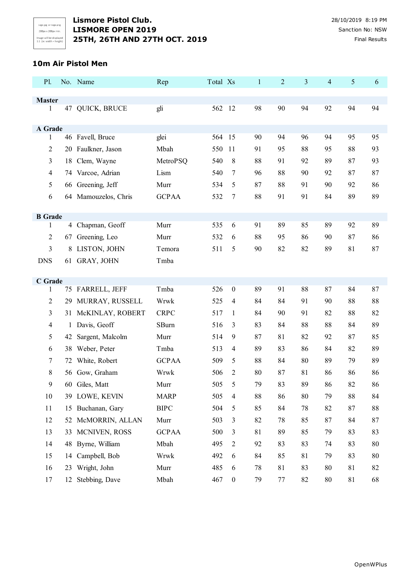

#### **10m Air Pistol Men**

| P1.                 |    | No. Name             | Rep          | Total Xs                | $\mathbf{1}$ | $\overline{c}$ | 3  | $\overline{4}$ | $\mathfrak{S}$ | 6  |
|---------------------|----|----------------------|--------------|-------------------------|--------------|----------------|----|----------------|----------------|----|
|                     |    |                      |              |                         |              |                |    |                |                |    |
| <b>Master</b><br>1  |    | 47 QUICK, BRUCE      | gli          | 562<br>-12              | 98           | 90             | 94 | 92             | 94             | 94 |
|                     |    |                      |              |                         |              |                |    |                |                |    |
| A Grade             |    |                      |              |                         |              |                |    |                |                |    |
| 1                   |    | 46 Favell, Bruce     | glei         | 15<br>564               | 90           | 94             | 96 | 94             | 95             | 95 |
| $\overline{2}$      |    | 20 Faulkner, Jason   | Mbah         | 550<br>11               | 91           | 95             | 88 | 95             | 88             | 93 |
| 3                   | 18 | Clem, Wayne          | MetroPSQ     | 540<br>8                | 88           | 91             | 92 | 89             | 87             | 93 |
| $\overline{4}$      |    | 74 Varcoe, Adrian    | Lism         | 540<br>7                | 96           | 88             | 90 | 92             | 87             | 87 |
| 5                   |    | 66 Greening, Jeff    | Murr         | 534<br>5                | 87           | 88             | 91 | 90             | 92             | 86 |
| 6                   |    | 64 Mamouzelos, Chris | <b>GCPAA</b> | 532<br>7                | 88           | 91             | 91 | 84             | 89             | 89 |
|                     |    |                      |              |                         |              |                |    |                |                |    |
| <b>B</b> Grade<br>1 |    | 4 Chapman, Geoff     | Murr         | 535<br>6                | 91           | 89             | 85 | 89             | 92             | 89 |
| $\overline{2}$      |    | 67 Greening, Leo     | Murr         | 532<br>6                | 88           | 95             | 86 | 90             | 87             | 86 |
| 3                   | 8  | LISTON, JOHN         | Temora       | 511<br>5                | 90           | 82             | 82 | 89             | 81             | 87 |
|                     |    |                      |              |                         |              |                |    |                |                |    |
| <b>DNS</b>          |    | 61 GRAY, JOHN        | Tmba         |                         |              |                |    |                |                |    |
| C Grade             |    |                      |              |                         |              |                |    |                |                |    |
| 1                   |    | 75 FARRELL, JEFF     | Tmba         | 526<br>$\boldsymbol{0}$ | 89           | 91             | 88 | 87             | 84             | 87 |
| $\overline{2}$      |    | 29 MURRAY, RUSSELL   | Wrwk         | 525<br>$\overline{4}$   | 84           | 84             | 91 | 90             | 88             | 88 |
| 3                   |    | 31 McKINLAY, ROBERT  | <b>CRPC</b>  | 517<br>1                | 84           | 90             | 91 | 82             | 88             | 82 |
| $\overline{4}$      | 1  | Davis, Geoff         | SBurn        | 516<br>3                | 83           | 84             | 88 | 88             | 84             | 89 |
| 5                   | 42 | Sargent, Malcolm     | Murr         | 514<br>9                | 87           | 81             | 82 | 92             | 87             | 85 |
| 6                   | 38 | Weber, Peter         | Tmba         | 513<br>4                | 89           | 83             | 86 | 84             | 82             | 89 |
| 7                   |    | 72 White, Robert     | <b>GCPAA</b> | 509<br>5                | 88           | 84             | 80 | 89             | 79             | 89 |
| 8                   |    | 56 Gow, Graham       | Wrwk         | 506<br>$\overline{2}$   | 80           | 87             | 81 | 86             | 86             | 86 |
| 9                   |    | 60 Giles, Matt       | Murr         | 505<br>5                | 79           | 83             | 89 | 86             | 82             | 86 |
| 10                  |    | 39 LOWE, KEVIN       | <b>MARP</b>  | 505<br>$\overline{4}$   | 88           | 86             | 80 | 79             | 88             | 84 |
| 11                  |    | 15 Buchanan, Gary    | <b>BIPC</b>  | 504<br>5                | 85           | 84             | 78 | 82             | 87             | 88 |
| 12                  |    | 52 McMORRIN, ALLAN   | Murr         | 503<br>3                | 82           | 78             | 85 | 87             | 84             | 87 |
| 13                  |    | 33 MCNIVEN, ROSS     | <b>GCPAA</b> | 500<br>3                | 81           | 89             | 85 | 79             | 83             | 83 |
| 14                  |    | 48 Byrne, William    | Mbah         | 495<br>$\overline{2}$   | 92           | 83             | 83 | 74             | 83             | 80 |
| 15                  | 14 | Campbell, Bob        | Wrwk         | 492<br>6                | 84           | 85             | 81 | 79             | 83             | 80 |
| 16                  | 23 | Wright, John         | Murr         | 485<br>6                | 78           | 81             | 83 | 80             | 81             | 82 |
| 17                  |    | 12 Stebbing, Dave    | Mbah         | 467<br>$\boldsymbol{0}$ | 79           | $77\,$         | 82 | 80             | 81             | 68 |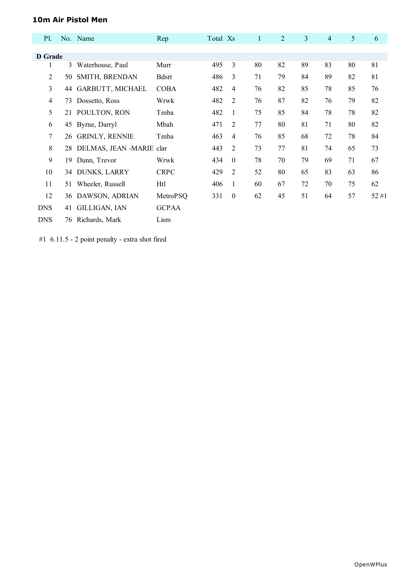# **10m Air Pistol Men**

| <b>P1.</b>     |     | No. Name                    | Rep          | Total Xs |                | $\mathbf{1}$ | $\overline{2}$ | 3  | 4  | 5  | 6    |
|----------------|-----|-----------------------------|--------------|----------|----------------|--------------|----------------|----|----|----|------|
|                |     |                             |              |          |                |              |                |    |    |    |      |
| D Grade        |     |                             |              |          |                |              |                |    |    |    |      |
| 1              | 3   | Waterhouse, Paul            | Murr         | 495      | 3              | 80           | 82             | 89 | 83 | 80 | 81   |
| $\overline{2}$ | 50. | SMITH, BRENDAN              | <b>Bdsrt</b> | 486      | 3              | 71           | 79             | 84 | 89 | 82 | 81   |
| 3              |     | 44 GARBUTT, MICHAEL         | <b>COBA</b>  | 482      | 4              | 76           | 82             | 85 | 78 | 85 | 76   |
| 4              | 73  | Dossetto, Ross              | Wrwk         | 482      | $\overline{2}$ | 76           | 87             | 82 | 76 | 79 | 82   |
| 5              |     | 21 POULTON, RON             | Tmba         | 482      | 1              | 75           | 85             | 84 | 78 | 78 | 82   |
| 6              |     | 45 Byrne, Darryl            | Mbah         | 471      | 2              | 77           | 80             | 81 | 71 | 80 | 82   |
| 7              |     | 26 GRINLY, RENNIE           | Tmba         | 463      | $\overline{4}$ | 76           | 85             | 68 | 72 | 78 | 84   |
| 8              |     | 28 DELMAS, JEAN -MARIE clar |              | 443      | 2              | 73           | 77             | 81 | 74 | 65 | 73   |
| 9              | 19  | Dunn, Trevor                | Wrwk         | 434      | $\theta$       | 78           | 70             | 79 | 69 | 71 | 67   |
| 10             |     | 34 DUNKS, LARRY             | <b>CRPC</b>  | 429      | $\overline{2}$ | 52           | 80             | 65 | 83 | 63 | 86   |
| 11             | 51  | Wheeler, Russell            | Htl          | 406      | 1              | 60           | 67             | 72 | 70 | 75 | 62   |
| 12             |     | 36 DAWSON, ADRIAN           | MetroPSQ     | 331      | $\mathbf{0}$   | 62           | 45             | 51 | 64 | 57 | 52#1 |
| <b>DNS</b>     | 41  | GILLIGAN, IAN               | <b>GCPAA</b> |          |                |              |                |    |    |    |      |
| <b>DNS</b>     | 76  | Richards, Mark              | Lism         |          |                |              |                |    |    |    |      |

#1 6.11.5 - 2 point penalty - extra shot fired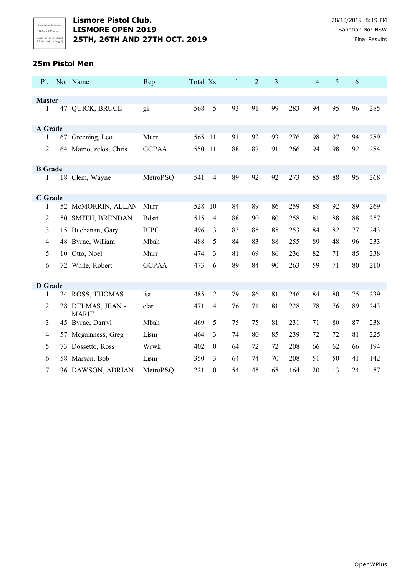#### **25m Pistol Men**

| <b>P1.</b>     |    | No. Name                          | Rep           | Total Xs |                  | $\mathbf{1}$ | $\overline{2}$ | 3  |     | 4  | 5  | 6  |     |
|----------------|----|-----------------------------------|---------------|----------|------------------|--------------|----------------|----|-----|----|----|----|-----|
|                |    |                                   |               |          |                  |              |                |    |     |    |    |    |     |
| <b>Master</b>  |    |                                   |               |          |                  |              |                |    |     |    |    |    |     |
| 1              |    | 47 QUICK, BRUCE                   | gli           | 568      | 5                | 93           | 91             | 99 | 283 | 94 | 95 | 96 | 285 |
| A Grade        |    |                                   |               |          |                  |              |                |    |     |    |    |    |     |
| 1              |    | 67 Greening, Leo                  | Murr          | 565 11   |                  | 91           | 92             | 93 | 276 | 98 | 97 | 94 | 289 |
| 2              |    | 64 Mamouzelos, Chris              | <b>GCPAA</b>  | 550 11   |                  | 88           | 87             | 91 | 266 | 94 | 98 | 92 | 284 |
| <b>B</b> Grade |    |                                   |               |          |                  |              |                |    |     |    |    |    |     |
| 1              |    | 18 Clem, Wayne                    | MetroPSQ      | 541      | $\overline{4}$   | 89           | 92             | 92 | 273 | 85 | 88 | 95 | 268 |
| C Grade        |    |                                   |               |          |                  |              |                |    |     |    |    |    |     |
| 1              |    | 52 McMORRIN, ALLAN                | Murr          | 528      | 10               | 84           | 89             | 86 | 259 | 88 | 92 | 89 | 269 |
| 2              | 50 | SMITH, BRENDAN                    | <b>B</b> dsrt | 515      | $\overline{4}$   | 88           | 90             | 80 | 258 | 81 | 88 | 88 | 257 |
| 3              | 15 | Buchanan, Gary                    | <b>BIPC</b>   | 496      | 3                | 83           | 85             | 85 | 253 | 84 | 82 | 77 | 243 |
| 4              |    | 48 Byrne, William                 | Mbah          | 488      | 5                | 84           | 83             | 88 | 255 | 89 | 48 | 96 | 233 |
| 5              |    | 10 Otto, Noel                     | Murr          | 474      | 3                | 81           | 69             | 86 | 236 | 82 | 71 | 85 | 238 |
| 6              |    | 72 White, Robert                  | <b>GCPAA</b>  | 473      | 6                | 89           | 84             | 90 | 263 | 59 | 71 | 80 | 210 |
| <b>D</b> Grade |    |                                   |               |          |                  |              |                |    |     |    |    |    |     |
| 1              |    | 24 ROSS, THOMAS                   | list          | 485      | $\overline{2}$   | 79           | 86             | 81 | 246 | 84 | 80 | 75 | 239 |
| $\overline{c}$ |    | 28 DELMAS, JEAN -<br><b>MARIE</b> | clar          | 471      | 4                | 76           | 71             | 81 | 228 | 78 | 76 | 89 | 243 |
| 3              |    | 45 Byrne, Darryl                  | Mbah          | 469      | 5                | 75           | 75             | 81 | 231 | 71 | 80 | 87 | 238 |
| 4              | 57 | Mcguinness, Greg                  | Lism          | 464      | 3                | 74           | 80             | 85 | 239 | 72 | 72 | 81 | 225 |
| 5              | 73 | Dossetto, Ross                    | Wrwk          | 402      | $\mathbf{0}$     | 64           | 72             | 72 | 208 | 66 | 62 | 66 | 194 |
| 6              | 58 | Marson, Bob                       | Lism          | 350      | 3                | 64           | 74             | 70 | 208 | 51 | 50 | 41 | 142 |
| $\tau$         |    | 36 DAWSON, ADRIAN                 | MetroPSQ      | 221      | $\boldsymbol{0}$ | 54           | 45             | 65 | 164 | 20 | 13 | 24 | 57  |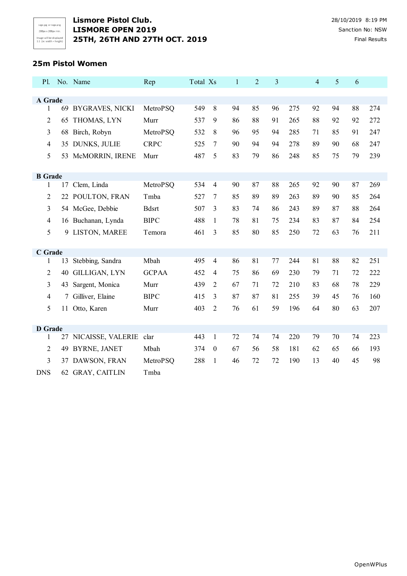Logo.jpg or Logo.png 200px x 200px min. Image will be displayed<br>1:1 (ie: width = height)

## **Lismore Pistol Club.** 28/10/2019 8:19 PM **LISMORE OPEN 2019** Sanction No: NSW **25TH, 26TH AND 27TH OCT. 2019** Final Results

#### **25m Pistol Women**

| <b>P1.</b>     |    | No. Name               | Rep          | Total Xs |                  | $\mathbf{1}$ | $\overline{2}$ | 3  |     | $\overline{\mathbf{4}}$ | 5  | 6  |     |
|----------------|----|------------------------|--------------|----------|------------------|--------------|----------------|----|-----|-------------------------|----|----|-----|
|                |    |                        |              |          |                  |              |                |    |     |                         |    |    |     |
| A Grade        |    |                        |              |          |                  |              |                |    |     |                         |    |    |     |
| 1              |    | 69 BYGRAVES, NICKI     | MetroPSQ     | 549      | 8                | 94           | 85             | 96 | 275 | 92                      | 94 | 88 | 274 |
| $\overline{c}$ | 65 | THOMAS, LYN            | Murr         | 537      | 9                | 86           | 88             | 91 | 265 | 88                      | 92 | 92 | 272 |
| 3              |    | 68 Birch, Robyn        | MetroPSQ     | 532      | 8                | 96           | 95             | 94 | 285 | 71                      | 85 | 91 | 247 |
| $\overline{4}$ |    | 35 DUNKS, JULIE        | <b>CRPC</b>  | 525      | 7                | 90           | 94             | 94 | 278 | 89                      | 90 | 68 | 247 |
| 5              |    | 53 McMORRIN, IRENE     | Murr         | 487      | 5                | 83           | 79             | 86 | 248 | 85                      | 75 | 79 | 239 |
| <b>B</b> Grade |    |                        |              |          |                  |              |                |    |     |                         |    |    |     |
| 1              | 17 | Clem, Linda            | MetroPSQ     | 534      | 4                | 90           | 87             | 88 | 265 | 92                      | 90 | 87 | 269 |
| $\overline{2}$ | 22 | POULTON, FRAN          | Tmba         | 527      | 7                | 85           | 89             | 89 | 263 | 89                      | 90 | 85 | 264 |
| 3              |    | 54 McGee, Debbie       | <b>Bdsrt</b> | 507      | 3                | 83           | 74             | 86 | 243 | 89                      | 87 | 88 | 264 |
| 4              |    | 16 Buchanan, Lynda     | <b>BIPC</b>  | 488      | $\mathbf{1}$     | 78           | 81             | 75 | 234 | 83                      | 87 | 84 | 254 |
| 5              |    | 9 LISTON, MAREE        | Temora       | 461      | 3                | 85           | 80             | 85 | 250 | 72                      | 63 | 76 | 211 |
|                |    |                        |              |          |                  |              |                |    |     |                         |    |    |     |
| C Grade        |    |                        |              |          |                  |              |                |    |     |                         |    |    |     |
| 1              | 13 | Stebbing, Sandra       | Mbah         | 495      | $\overline{4}$   | 86           | 81             | 77 | 244 | 81                      | 88 | 82 | 251 |
| $\overline{c}$ | 40 | GILLIGAN, LYN          | <b>GCPAA</b> | 452      | 4                | 75           | 86             | 69 | 230 | 79                      | 71 | 72 | 222 |
| 3              | 43 | Sargent, Monica        | Murr         | 439      | 2                | 67           | 71             | 72 | 210 | 83                      | 68 | 78 | 229 |
| $\overline{4}$ | 7  | Gilliver, Elaine       | <b>BIPC</b>  | 415      | 3                | 87           | 87             | 81 | 255 | 39                      | 45 | 76 | 160 |
| 5              | 11 | Otto, Karen            | Murr         | 403      | $\overline{2}$   | 76           | 61             | 59 | 196 | 64                      | 80 | 63 | 207 |
|                |    |                        |              |          |                  |              |                |    |     |                         |    |    |     |
| <b>D</b> Grade |    |                        |              |          |                  |              |                |    |     |                         |    |    |     |
| 1              | 27 | NICAISSE, VALERIE clar |              | 443      | 1                | 72           | 74             | 74 | 220 | 79                      | 70 | 74 | 223 |
| 2              | 49 | <b>BYRNE, JANET</b>    | Mbah         | 374      | $\boldsymbol{0}$ | 67           | 56             | 58 | 181 | 62                      | 65 | 66 | 193 |
| 3              | 37 | DAWSON, FRAN           | MetroPSQ     | 288      | 1                | 46           | 72             | 72 | 190 | 13                      | 40 | 45 | 98  |
| <b>DNS</b>     |    | 62 GRAY, CAITLIN       | Tmba         |          |                  |              |                |    |     |                         |    |    |     |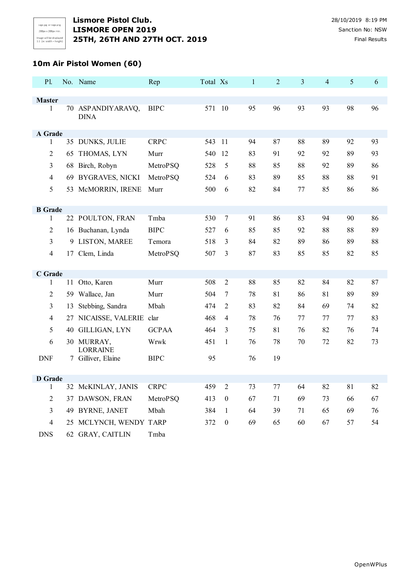# **10m Air Pistol Women (60)**

| P1.                           |    | No. Name                              | Rep          | Total Xs |                  | $\mathbf{1}$ | $\overline{c}$ | 3  | $\overline{4}$ | 5  | 6  |
|-------------------------------|----|---------------------------------------|--------------|----------|------------------|--------------|----------------|----|----------------|----|----|
|                               |    |                                       |              |          |                  |              |                |    |                |    |    |
| <b>Master</b><br>$\mathbf{1}$ |    | 70 ASPANDIYARAVQ,                     | <b>BIPC</b>  | 571 10   |                  | 95           | 96             | 93 | 93             | 98 | 96 |
|                               |    | <b>DINA</b>                           |              |          |                  |              |                |    |                |    |    |
|                               |    |                                       |              |          |                  |              |                |    |                |    |    |
| A Grade<br>$\mathbf{1}$       |    | 35 DUNKS, JULIE                       | <b>CRPC</b>  | 543 11   |                  | 94           | 87             | 88 | 89             | 92 | 93 |
| $\overline{2}$                | 65 | THOMAS, LYN                           | Murr         | 540      | 12               | 83           | 91             | 92 | 92             | 89 | 93 |
| 3                             | 68 | Birch, Robyn                          | MetroPSQ     | 528      | 5                | 88           | 85             | 88 | 92             | 89 | 86 |
| $\overline{4}$                | 69 | <b>BYGRAVES, NICKI</b>                | MetroPSQ     | 524      | 6                | 83           | 89             | 85 | 88             | 88 | 91 |
| 5                             |    | 53 McMORRIN, IRENE                    | Murr         | 500      | 6                | 82           | 84             | 77 | 85             | 86 | 86 |
|                               |    |                                       |              |          |                  |              |                |    |                |    |    |
| <b>B</b> Grade                |    |                                       |              |          |                  |              |                |    |                |    |    |
| 1                             |    | 22 POULTON, FRAN                      | Tmba         | 530      | $\tau$           | 91           | 86             | 83 | 94             | 90 | 86 |
| 2                             |    | 16 Buchanan, Lynda                    | <b>BIPC</b>  | 527      | 6                | 85           | 85             | 92 | 88             | 88 | 89 |
| 3                             | 9  | LISTON, MAREE                         | Temora       | 518      | 3                | 84           | 82             | 89 | 86             | 89 | 88 |
| $\overline{4}$                |    | 17 Clem, Linda                        | MetroPSQ     | 507      | 3                | 87           | 83             | 85 | 85             | 82 | 85 |
|                               |    |                                       |              |          |                  |              |                |    |                |    |    |
| C Grade                       |    |                                       |              |          |                  |              |                |    |                |    |    |
| 1                             | 11 | Otto, Karen                           | Murr         | 508      | $\mathfrak{2}$   | 88           | 85             | 82 | 84             | 82 | 87 |
| $\overline{2}$                | 59 | Wallace, Jan                          | Murr         | 504      | $\tau$           | 78           | 81             | 86 | 81             | 89 | 89 |
| 3                             | 13 | Stebbing, Sandra                      | Mbah         | 474      | $\overline{2}$   | 83           | 82             | 84 | 69             | 74 | 82 |
| $\overline{4}$                | 27 | NICAISSE, VALERIE clar                |              | 468      | $\overline{4}$   | 78           | 76             | 77 | 77             | 77 | 83 |
| 5                             |    | 40 GILLIGAN, LYN                      | <b>GCPAA</b> | 464      | 3                | 75           | 81             | 76 | 82             | 76 | 74 |
| 6                             |    | 30 MURRAY,                            | Wrwk         | 451      | $\mathbf{1}$     | 76           | 78             | 70 | 72             | 82 | 73 |
| <b>DNF</b>                    |    | <b>LORRAINE</b><br>7 Gilliver, Elaine | <b>BIPC</b>  | 95       |                  | 76           | 19             |    |                |    |    |
|                               |    |                                       |              |          |                  |              |                |    |                |    |    |
| <b>D</b> Grade                |    |                                       |              |          |                  |              |                |    |                |    |    |
| $\mathbf{1}$                  |    | 32 McKINLAY, JANIS                    | <b>CRPC</b>  | 459      | $\overline{c}$   | 73           | 77             | 64 | 82             | 81 | 82 |
| $\mathfrak{2}$                | 37 | DAWSON, FRAN                          | MetroPSQ     | 413      | $\boldsymbol{0}$ | 67           | 71             | 69 | 73             | 66 | 67 |
| 3                             |    | 49 BYRNE, JANET                       | Mbah         | 384      | $\mathbf{1}$     | 64           | 39             | 71 | 65             | 69 | 76 |
| $\overline{4}$                |    | 25 MCLYNCH, WENDY TARP                |              | 372      | $\boldsymbol{0}$ | 69           | 65             | 60 | 67             | 57 | 54 |
| <b>DNS</b>                    |    | 62 GRAY, CAITLIN                      | Tmba         |          |                  |              |                |    |                |    |    |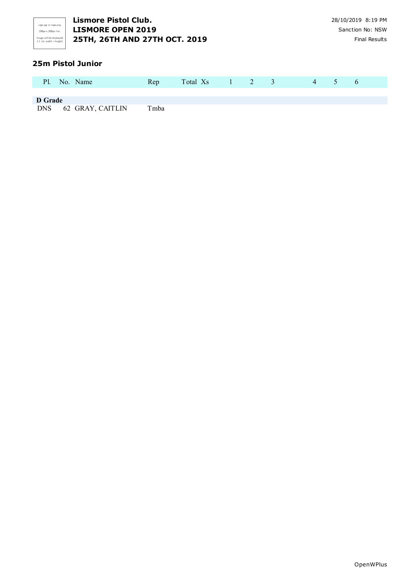

#### **25m Pistol Junior**

|         | Pl. No. Name         | Rep  | Total Xs 1 2 3 |  |  | $\sim$ 4 | $\sim$ 5 | $\ddot{\sigma}$ |  |
|---------|----------------------|------|----------------|--|--|----------|----------|-----------------|--|
| D Grade |                      |      |                |  |  |          |          |                 |  |
|         | DNS 62 GRAY, CAITLIN | Tmba |                |  |  |          |          |                 |  |